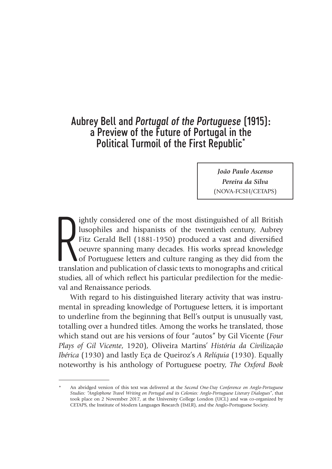# Aubrey Bell and *Portugal of the Portuguese* (1915): a Preview of the Future of Portugal in the Political Turmoil of the First Republic\*

*João Paulo Ascenso Pereira da Silva* (NOVA-FCSH/CETAPS)

ightly considered one of the most distinguished of all British lusophiles and hispanists of the twentieth century, Aubrey Fitz Gerald Bell (1881-1950) produced a vast and diversified oeuvre spanning many decades. His works ightly considered one of the most distinguished of all British lusophiles and hispanists of the twentieth century, Aubrey Fitz Gerald Bell (1881-1950) produced a vast and diversified oeuvre spanning many decades. His works spread knowledge of Portuguese letters and culture ranging as they did from the studies, all of which reflect his particular predilection for the medieval and Renaissance periods.

With regard to his distinguished literary activity that was instrumental in spreading knowledge of Portuguese letters, it is important to underline from the beginning that Bell's output is unusually vast, totalling over a hundred titles. Among the works he translated, those which stand out are his versions of four "autos" by Gil Vicente (*Four Plays of Gil Vicente*, 1920), Oliveira Martins' *História da Civilização Ibérica* (1930) and lastly Eça de Queiroz's *A Relíquia* (1930). Equally noteworthy is his anthology of Portuguese poetry, *The Oxford Book* 

<sup>\*</sup> An abridged version of this text was delivered at the *Second One-Day Conference on Anglo-Portuguese Studies: "Anglophone Travel Writing on Portugal and its Colonies: Anglo-Portuguese Literary Dialogues"*, that took place on 2 November 2017, at the University College London (UCL) and was co-organized by CETAPS, the Institute of Modern Languages Research (IMLR), and the Anglo-Portuguese Society.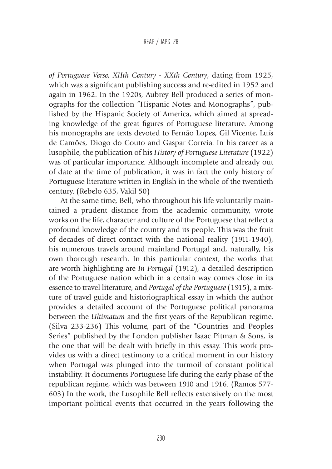*of Portuguese Verse, XIIth Century - XXth Century*, dating from 1925, which was a significant publishing success and re-edited in 1952 and again in 1962. In the 1920s, Aubrey Bell produced a series of monographs for the collection "Hispanic Notes and Monographs", published by the Hispanic Society of America, which aimed at spreading knowledge of the great figures of Portuguese literature. Among his monographs are texts devoted to Fernão Lopes, Gil Vicente, Luís de Camões, Diogo do Couto and Gaspar Correia. In his career as a lusophile, the publication of his *History of Portuguese Literature* (1922) was of particular importance. Although incomplete and already out of date at the time of publication, it was in fact the only history of Portuguese literature written in English in the whole of the twentieth century. (Rebelo 635, Vakil 50)

At the same time, Bell, who throughout his life voluntarily maintained a prudent distance from the academic community, wrote works on the life, character and culture of the Portuguese that reflect a profound knowledge of the country and its people. This was the fruit of decades of direct contact with the national reality (1911-1940), his numerous travels around mainland Portugal and, naturally, his own thorough research. In this particular context, the works that are worth highlighting are *In Portugal* (1912), a detailed description of the Portuguese nation which in a certain way comes close in its essence to travel literature, and *Portugal of the Portuguese* (1915), a mixture of travel guide and historiographical essay in which the author provides a detailed account of the Portuguese political panorama between the *Ultimatum* and the first years of the Republican regime. (Silva 233-236) This volume, part of the "Countries and Peoples Series" published by the London publisher Isaac Pitman & Sons, is the one that will be dealt with briefly in this essay. This work provides us with a direct testimony to a critical moment in our history when Portugal was plunged into the turmoil of constant political instability. It documents Portuguese life during the early phase of the republican regime, which was between 1910 and 1916. (Ramos 577- 603) In the work, the Lusophile Bell reflects extensively on the most important political events that occurred in the years following the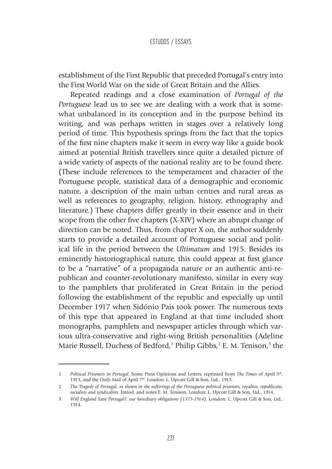establishment of the First Republic that preceded Portugal's entry into the First World War on the side of Great Britain and the Allies.

Repeated readings and a close examination of *Portugal of the Portuguese* lead us to see we are dealing with a work that is somewhat unbalanced in its conception and in the purpose behind its writing, and was perhaps written in stages over a relatively long period of time. This hypothesis springs from the fact that the topics of the first nine chapters make it seem in every way like a guide book aimed at potential British travellers since quite a detailed picture of a wide variety of aspects of the national reality are to be found there. (These include references to the temperament and character of the Portuguese people, statistical data of a demographic and economic nature, a description of the main urban centres and rural areas as well as references to geography, religion, history, ethnography and literature.) These chapters differ greatly in their essence and in their scope from the other five chapters (X-XIV) where an abrupt change of direction can be noted. Thus, from chapter X on, the author suddenly starts to provide a detailed account of Portuguese social and political life in the period between the *Ultimatum* and 1915. Besides its eminently historiographical nature, this could appear at first glance to be a "narrative" of a propaganda nature or an authentic anti-republican and counter-revolutionary manifesto, similar in every way to the pamphlets that proliferated in Great Britain in the period following the establishment of the republic and especially up until December 1917 when Sidónio Pais took power. The numerous texts of this type that appeared in England at that time included short monographs, pamphlets and newspaper articles through which various ultra-conservative and right-wing British personalities (Adeline Marie Russell, Duchess of Bedford,<sup>1</sup> Philip Gibbs,<sup>2</sup> E. M. Tenison,<sup>3</sup> the

<sup>1</sup> *Political Prisoners in Portugal*. Some Press Opinions and Letters, reprinted from *The Times* of April 5th, 1913, and the *Daily Mail* of April 7th. London: L. Upcott Gill & Son, Ltd., 1913.

<sup>2</sup> *The Tragedy of Portugal, as shown in the sufferings of the Portuguese political prisoners, royalists, republicans, socialists and syndicalists*. Introd. and notes E. M. Tenison. London: L. Upcott Gill & Son, Ltd., 1914.

<sup>3</sup> *Will England Save Portugal?: our hereditary obligations (1373-1914)*. London: L. Upcott Gill & Son, Ltd., 1914.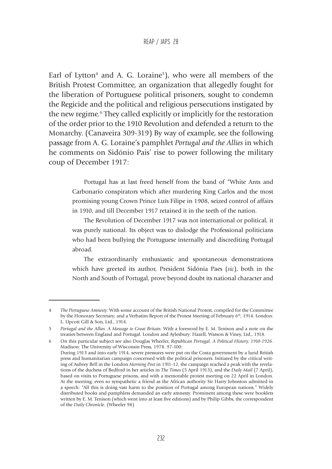Earl of Lytton<sup>4</sup> and A. G. Loraine<sup>5</sup>), who were all members of the British Protest Committee, an organization that allegedly fought for the liberation of Portuguese political prisoners, sought to condemn the Regicide and the political and religious persecutions instigated by the new regime.6 They called explicitly or implicitly for the restoration of the order prior to the 1910 Revolution and defended a return to the Monarchy. (Canaveira 309-319) By way of example, see the following passage from A. G. Loraine's pamphlet *Portugal and the Allies* in which he comments on Sidónio Pais' rise to power following the military coup of December 1917:

> Portugal has at last freed herself from the band of "White Ants and Carbonario conspirators which after murdering King Carlos and the most promising young Crown Prince Luís Filipe in 1908, seized control of affairs in 1910, and till December 1917 retained it in the teeth of the nation.

> The Revolution of December 1917 was not international or political, it was purely national. Its object was to dislodge the Professional politicians who had been bullying the Portuguese internally and discrediting Portugal abroad.

> The extraordinarily enthusiastic and spontaneous demonstrations which have greeted its author, President Sidónia Paes (*sic*), both in the North and South of Portugal, prove beyond doubt its national character and

<sup>4</sup> *The Portuguese Amnesty*. With some account of the British National Protest, compiled for the Committee by the Honorary Secretary; and a Verbatim Report of the Protest Meeting of February 6<sup>th</sup>, 1914. London: L. Upcott Gill & Son, Ltd., 1914.

<sup>5</sup> *Portugal and the Allies. A Message to Great Britain*. With a foreword by E. M. Tenison and a note on the treaties between England and Portugal. London and Aylesbury: Hazell, Watson & Viney, Ltd., 1918.

<sup>6</sup> On this particular subject see also Douglas Wheeler, *Republican Portugal. A Political History, 1910-1926*. Madison: The University of Wisconsin Press, 1978. 97-100:

During 1913 and into early 1914, severe pressures were put on the Costa government by a lurid British press and humanitarian campaign concerned with the political prisoners. Initiated by the critical writing of Aubrey Bell in the London *Morning Post* in 1911-12, the campaign reached a peak with the revelations of the duchess of Bedford in her articles in *The Times* (5 April 1913), and the *Daily Mail* (7 April), based on visits to Portuguese prisons, and with a memorable protest meeting on 22 April in London. At the meeting, even so sympathetic a friend as the African authority Sir Harry Johnston admitted in a speech: "All this is doing vast harm to the position of Portugal among European nations." Widely distributed books and pamphlets demanded an early amnesty. Prominent among these were booklets written by E. M. Tenison (which went into at least five editions) and by Philip Gibbs, the correspondent of the *Daily Chronicle*. (Wheeler 98)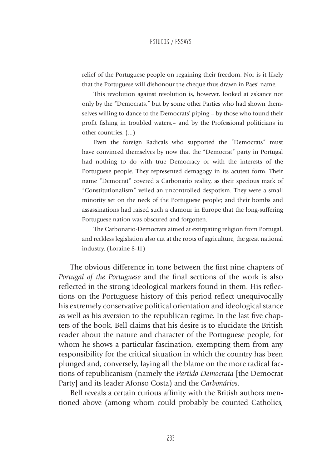relief of the Portuguese people on regaining their freedom. Nor is it likely that the Portuguese will dishonour the cheque thus drawn in Paes' name.

This revolution against revolution is, however, looked at askance not only by the "Democrats," but by some other Parties who had shown themselves willing to dance to the Democrats' piping – by those who found their profit fishing in troubled waters,– and by the Professional politicians in other countries. (...)

Even the foreign Radicals who supported the "Democrats" must have convinced themselves by now that the "Democrat" party in Portugal had nothing to do with true Democracy or with the interests of the Portuguese people. They represented demagogy in its acutest form. Their name "Democrat" covered a Carbonario reality, as their specious mark of "Constitutionalism" veiled an uncontrolled despotism. They were a small minority set on the neck of the Portuguese people; and their bombs and assassinations had raised such a clamour in Europe that the long-suffering Portuguese nation was obscured and forgotten.

The Carbonario-Democrats aimed at extirpating religion from Portugal, and reckless legislation also cut at the roots of agriculture, the great national industry. (Loraine 8-11)

The obvious difference in tone between the first nine chapters of *Portugal of the Portuguese* and the final sections of the work is also reflected in the strong ideological markers found in them. His reflections on the Portuguese history of this period reflect unequivocally his extremely conservative political orientation and ideological stance as well as his aversion to the republican regime. In the last five chapters of the book, Bell claims that his desire is to elucidate the British reader about the nature and character of the Portuguese people, for whom he shows a particular fascination, exempting them from any responsibility for the critical situation in which the country has been plunged and, conversely, laying all the blame on the more radical factions of republicanism (namely the *Partido Democrata* [the Democrat Party] and its leader Afonso Costa) and the *Carbonários*.

Bell reveals a certain curious affinity with the British authors mentioned above (among whom could probably be counted Catholics,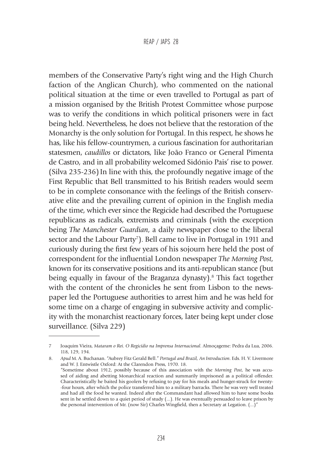members of the Conservative Party's right wing and the High Church faction of the Anglican Church), who commented on the national political situation at the time or even travelled to Portugal as part of a mission organised by the British Protest Committee whose purpose was to verify the conditions in which political prisoners were in fact being held. Nevertheless, he does not believe that the restoration of the Monarchy is the only solution for Portugal. In this respect, he shows he has, like his fellow-countrymen, a curious fascination for authoritarian statesmen, *caudillos* or dictators, like João Franco or General Pimenta de Castro, and in all probability welcomed Sidónio Pais' rise to power. (Silva 235-236) In line with this, the profoundly negative image of the First Republic that Bell transmitted to his British readers would seem to be in complete consonance with the feelings of the British conservative elite and the prevailing current of opinion in the English media of the time, which ever since the Regicide had described the Portuguese republicans as radicals, extremists and criminals (with the exception being *The Manchester Guardian*, a daily newspaper close to the liberal sector and the Labour Party<sup>7</sup>). Bell came to live in Portugal in 1911 and curiously during the first few years of his sojourn here held the post of correspondent for the influential London newspaper *The Morning Post*, known for its conservative positions and its anti-republican stance (but being equally in favour of the Braganza dynasty).<sup>8</sup> This fact together with the content of the chronicles he sent from Lisbon to the newspaper led the Portuguese authorities to arrest him and he was held for some time on a charge of engaging in subversive activity and complicity with the monarchist reactionary forces, later being kept under close surveillance. (Silva 229)

<sup>7</sup> Joaquim Vieira, *Mataram o Rei. O Regicídio na Imprensa Internacional*. Almoçageme: Pedra da Lua, 2006. 118, 129, 194.

<sup>8.</sup> *Apud* M. A. Buchanan. "Aubrey Fitz Gerald Bell." *Portugal and Brazil, An Introduction*. Eds. H. V. Livermore and W. J. Entwistle Oxford: At the Clarendon Press, 1970. 18. "Sometime about 1912, possibly because of this association with the *Morning Post*, he was accused of aiding and abetting Monarchical reaction and summarily imprisoned as a political offender. Characteristically he baited his goolers by refusing to pay for his meals and hunger-struck for twenty- -four hours, after which the police transferred him to a military barracks. There he was very well treated and had all the food he wanted. Indeed after the Commandant had allowed him to have some books sent in he settled down to a quiet period of study (...). He was eventually persuaded to leave prison by the personal intervention of Mr. (now Sir) Charles Wingfield, then a Secretary at Legation. (...)"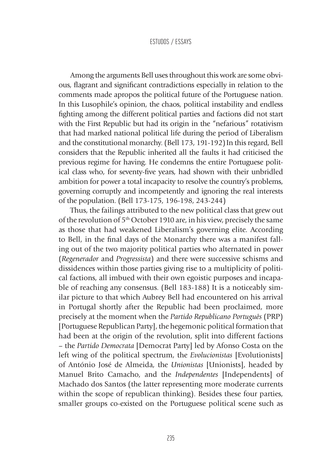Among the arguments Bell uses throughout this work are some obvious, flagrant and significant contradictions especially in relation to the comments made apropos the political future of the Portuguese nation. In this Lusophile's opinion, the chaos, political instability and endless fighting among the different political parties and factions did not start with the First Republic but had its origin in the "nefarious" rotativism that had marked national political life during the period of Liberalism and the constitutional monarchy. (Bell 173, 191-192) In this regard, Bell considers that the Republic inherited all the faults it had criticised the previous regime for having. He condemns the entire Portuguese political class who, for seventy-five years, had shown with their unbridled ambition for power a total incapacity to resolve the country's problems, governing corruptly and incompetently and ignoring the real interests of the population. (Bell 173-175, 196-198, 243-244)

Thus, the failings attributed to the new political class that grew out of the revolution of 5<sup>th</sup> October 1910 are, in his view, precisely the same as those that had weakened Liberalism's governing elite. According to Bell, in the final days of the Monarchy there was a manifest falling out of the two majority political parties who alternated in power (*Regenerador* and *Progressista*) and there were successive schisms and dissidences within those parties giving rise to a multiplicity of political factions, all imbued with their own egoistic purposes and incapable of reaching any consensus. (Bell 183-188) It is a noticeably similar picture to that which Aubrey Bell had encountered on his arrival in Portugal shortly after the Republic had been proclaimed, more precisely at the moment when the *Partido Republicano Português* (PRP) [Portuguese Republican Party], the hegemonic political formation that had been at the origin of the revolution, split into different factions – the *Partido Democrata* [Democrat Party] led by Afonso Costa on the left wing of the political spectrum, the *Evolucionistas* [Evolutionists] of António José de Almeida, the *Unionistas* [Unionists], headed by Manuel Brito Camacho, and the *Independentes* [Independents] of Machado dos Santos (the latter representing more moderate currents within the scope of republican thinking). Besides these four parties, smaller groups co-existed on the Portuguese political scene such as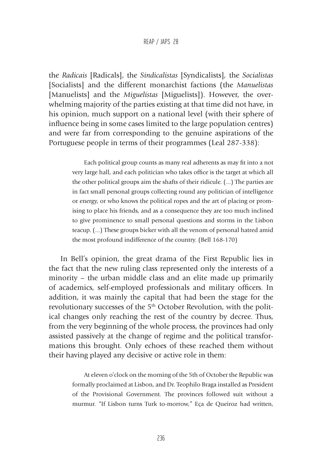the *Radicais* [Radicals], the *Sindicalistas* [Syndicalists]*,* the *Socialistas* [Socialists] and the different monarchist factions (the *Manuelistas* [Manuelists] and the *Miguelistas* [Miguelists]). However, the overwhelming majority of the parties existing at that time did not have, in his opinion, much support on a national level (with their sphere of influence being in some cases limited to the large population centres) and were far from corresponding to the genuine aspirations of the Portuguese people in terms of their programmes (Leal 287-338):

> Each political group counts as many real adherents as may fit into a not very large hall, and each politician who takes office is the target at which all the other political groups aim the shafts of their ridicule. (...) The parties are in fact small personal groups collecting round any politician of intelligence or energy, or who knows the political ropes and the art of placing or promising to place his friends, and as a consequence they are too much inclined to give prominence to small personal questions and storms in the Lisbon teacup. (...) These groups bicker with all the venom of personal hatred amid the most profound indifference of the country. (Bell 168-170)

In Bell's opinion, the great drama of the First Republic lies in the fact that the new ruling class represented only the interests of a minority – the urban middle class and an elite made up primarily of academics, self-employed professionals and military officers. In addition, it was mainly the capital that had been the stage for the revolutionary successes of the 5<sup>th</sup> October Revolution, with the political changes only reaching the rest of the country by decree. Thus, from the very beginning of the whole process, the provinces had only assisted passively at the change of regime and the political transformations this brought. Only echoes of these reached them without their having played any decisive or active role in them:

> At eleven o'clock on the morning of the 5th of October the Republic was formally proclaimed at Lisbon, and Dr. Teophilo Braga installed as President of the Provisional Government. The provinces followed suit without a murmur. "If Lisbon turns Turk to-morrow," Eça de Queiroz had written,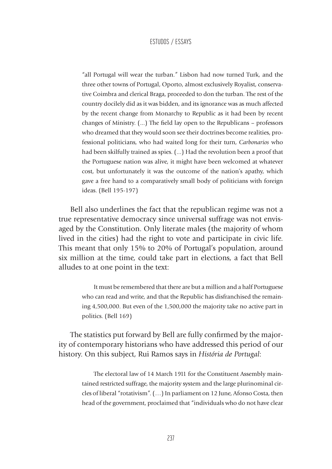"all Portugal will wear the turban." Lisbon had now turned Turk, and the three other towns of Portugal, Oporto, almost exclusively Royalist, conservative Coimbra and clerical Braga, proceeded to don the turban. The rest of the country docilely did as it was bidden, and its ignorance was as much affected by the recent change from Monarchy to Republic as it had been by recent changes of Ministry. (...) The field lay open to the Republicans – professors who dreamed that they would soon see their doctrines become realities, professional politicians, who had waited long for their turn, *Carbonarios* who had been skilfully trained as spies. (...) Had the revolution been a proof that the Portuguese nation was alive, it might have been welcomed at whatever cost, but unfortunately it was the outcome of the nation's apathy, which gave a free hand to a comparatively small body of politicians with foreign ideas. (Bell 195-197)

Bell also underlines the fact that the republican regime was not a true representative democracy since universal suffrage was not envisaged by the Constitution. Only literate males (the majority of whom lived in the cities) had the right to vote and participate in civic life. This meant that only 15% to 20% of Portugal's population, around six million at the time, could take part in elections, a fact that Bell alludes to at one point in the text:

> It must be remembered that there are but a million and a half Portuguese who can read and write, and that the Republic has disfranchised the remaining 4,500,000. But even of the 1,500,000 the majority take no active part in politics. (Bell 169)

The statistics put forward by Bell are fully confirmed by the majority of contemporary historians who have addressed this period of our history. On this subject, Rui Ramos says in *História de Portugal*:

> The electoral law of 14 March 1911 for the Constituent Assembly maintained restricted suffrage, the majority system and the large plurinominal circles of liberal "rotativism". (…) In parliament on 12 June, Afonso Costa, then head of the government, proclaimed that "individuals who do not have clear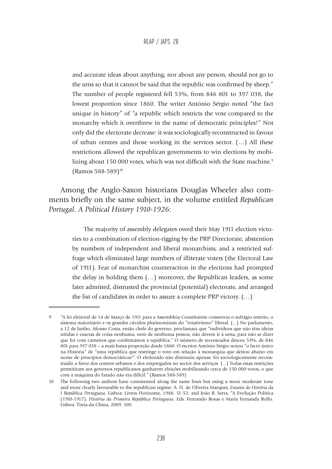and accurate ideas about anything, nor about any person, should not go to the urns so that it cannot be said that the republic was confirmed by sheep." The number of people registered fell 53%, from 846 801 to 397 038, the lowest proportion since 1860. The writer António Sérgio noted "the fact unique in history" of "a republic which restricts the vote compared to the monarchy which it overthrew in the name of democratic principles!" Not only did the electorate decrease: it was sociologically reconstructed in favour of urban centres and those working in the services sector. (…) All these restrictions allowed the republican governments to win elections by mobilizing about 150 000 votes, which was not difficult with the State machine.<sup>9</sup> (Ramos 588-589)10

Among the Anglo-Saxon historians Douglas Wheeler also comments briefly on the same subject, in the volume entitled *Republican Portugal. A Political History 1910-1926*:

> The majority of assembly delegates owed their May 1911 election victories to a combination of election-rigging by the PRP Directorate, abstention by numbers of independent and liberal monarchists, and a restricted suffrage which eliminated large numbers of illiterate voters (the Electoral Law of 1911). Fear of monarchist counteraction in the elections had prompted the delay in holding them (…) moreover, the Republican leaders, as some later admitted, distrusted the provincial (potential) electorate, and arranged the list of candidates in order to assure a complete PRP victory. (…)

<sup>9</sup> "A lei eleitoral de 14 de Março de 1911 para a Assembleia Constituinte conservou o sufrágio restrito, o sistema maioritário e os grandes círculos plurinominais do "rotativismo" liberal. (...) No parlamento, a 12 de Junho, Afonso Costa, então chefe do governo, proclamara que "indivíduos que não têm ideias nítidas e exactas de coisa nenhuma, nem de nenhuma pessoa, não devem ir à urna, para não se dizer que foi com carneiros que confirmámos a república." O número de recenseados desceu 53%, de 846 801 para 397 038 – a mais baixa proporção desde 1860. O escritor António Sérgio notou "o facto único na História" de "uma república que restringe o voto em relação à monarquia que deitou abaixo em nome de princípios democráticos!". O eleitorado não diminuiu apenas: foi sociologicamente reconstruído a favor dos centros urbanos e dos empregados no sector dos serviços. (...) Todas estas restrições permitiram aos governos republicanos ganharem eleições mobilizando cerca de 150 000 votos, o que com a máquina do Estado não era difícil." (Ramos 588-589)

<sup>10</sup> The following two authors have commented along the same lines but using a more moderate tone and more clearly favourable to the republican regime: A. H. de Oliveira Marques, *Ensaios de História da I República Portuguesa*. Lisboa: Livros Horizonte, 1988. 51-52; and João B. Serra, "A Evolução Política (1910-1917). *História da Primeira República Portuguesa*. Eds. Fernando Rosas e Maria Fernanda Rollo. Lisboa: Tinta-da-China, 2009. 100.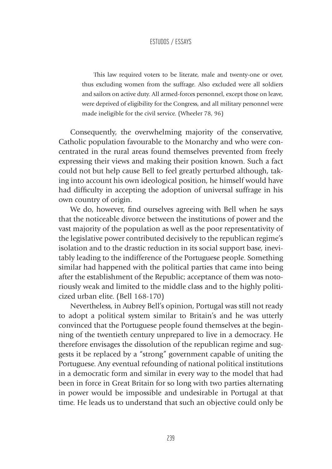This law required voters to be literate, male and twenty-one or over, thus excluding women from the suffrage. Also excluded were all soldiers and sailors on active duty. All armed-forces personnel, except those on leave, were deprived of eligibility for the Congress, and all military personnel were made ineligible for the civil service. (Wheeler 78, 96)

Consequently, the overwhelming majority of the conservative, Catholic population favourable to the Monarchy and who were concentrated in the rural areas found themselves prevented from freely expressing their views and making their position known. Such a fact could not but help cause Bell to feel greatly perturbed although, taking into account his own ideological position, he himself would have had difficulty in accepting the adoption of universal suffrage in his own country of origin.

We do, however, find ourselves agreeing with Bell when he says that the noticeable divorce between the institutions of power and the vast majority of the population as well as the poor representativity of the legislative power contributed decisively to the republican regime's isolation and to the drastic reduction in its social support base, inevitably leading to the indifference of the Portuguese people. Something similar had happened with the political parties that came into being after the establishment of the Republic; acceptance of them was notoriously weak and limited to the middle class and to the highly politicized urban elite. (Bell 168-170)

Nevertheless, in Aubrey Bell's opinion, Portugal was still not ready to adopt a political system similar to Britain's and he was utterly convinced that the Portuguese people found themselves at the beginning of the twentieth century unprepared to live in a democracy. He therefore envisages the dissolution of the republican regime and suggests it be replaced by a "strong" government capable of uniting the Portuguese. Any eventual refounding of national political institutions in a democratic form and similar in every way to the model that had been in force in Great Britain for so long with two parties alternating in power would be impossible and undesirable in Portugal at that time. He leads us to understand that such an objective could only be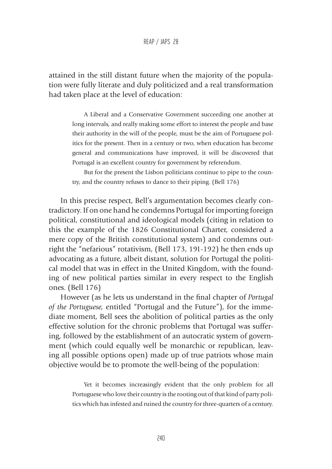attained in the still distant future when the majority of the population were fully literate and duly politicized and a real transformation had taken place at the level of education:

> A Liberal and a Conservative Government succeeding one another at long intervals, and really making some effort to interest the people and base their authority in the will of the people, must be the aim of Portuguese politics for the present. Then in a century or two, when education has become general and communications have improved, it will be discovered that Portugal is an excellent country for government by referendum.

> But for the present the Lisbon politicians continue to pipe to the country, and the country refuses to dance to their piping. (Bell 176)

In this precise respect, Bell's argumentation becomes clearly contradictory. If on one hand he condemns Portugal for importing foreign political, constitutional and ideological models (citing in relation to this the example of the 1826 Constitutional Charter, considered a mere copy of the British constitutional system) and condemns outright the "nefarious" rotativism, (Bell 173, 191-192) he then ends up advocating as a future, albeit distant, solution for Portugal the political model that was in effect in the United Kingdom, with the founding of new political parties similar in every respect to the English ones. (Bell 176)

However (as he lets us understand in the final chapter of *Portugal of the Portuguese,* entitled "Portugal and the Future"), for the immediate moment, Bell sees the abolition of political parties as the only effective solution for the chronic problems that Portugal was suffering, followed by the establishment of an autocratic system of government (which could equally well be monarchic or republican, leaving all possible options open) made up of true patriots whose main objective would be to promote the well-being of the population:

> Yet it becomes increasingly evident that the only problem for all Portuguese who love their country is the rooting out of that kind of party politics which has infested and ruined the country for three-quarters of a century.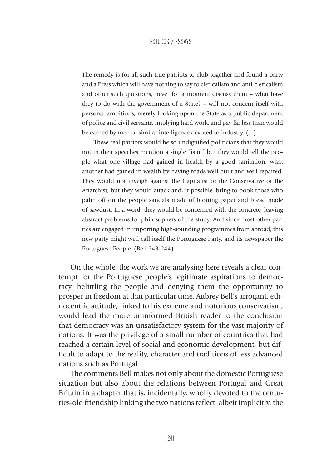The remedy is for all such true patriots to club together and found a party and a Press which will have nothing to say to clericalism and anti-clericalism and other such questions, never for a moment discuss them – what have they to do with the government of a State? – will not concern itself with personal ambitions, merely looking upon the State as a public department of police and civil servants, implying hard work, and pay far less than would be earned by men of similar intelligence devoted to industry. (...)

These real patriots would be so undignified politicians that they would not in their speeches mention a single "ism," but they would tell the people what one village had gained in health by a good sanitation, what another had gained in wealth by having roads well built and well repaired. They would not inveigh against the Capitalist or the Conservative or the Anarchist, but they would attack and, if possible, bring to book those who palm off on the people sandals made of blotting paper and bread made of sawdust. In a word, they would be concerned with the concrete, leaving abstract problems for philosophers of the study. And since most other parties are engaged in importing high-sounding programmes from abroad, this new party might well call itself the Portuguese Party, and its newspaper the Portuguese People. (Bell 243-244)

On the whole, the work we are analysing here reveals a clear contempt for the Portuguese people's legitimate aspirations to democracy, belittling the people and denying them the opportunity to prosper in freedom at that particular time. Aubrey Bell's arrogant, ethnocentric attitude, linked to his extreme and notorious conservatism, would lead the more uninformed British reader to the conclusion that democracy was an unsatisfactory system for the vast majority of nations. It was the privilege of a small number of countries that had reached a certain level of social and economic development, but difficult to adapt to the reality, character and traditions of less advanced nations such as Portugal.

The comments Bell makes not only about the domestic Portuguese situation but also about the relations between Portugal and Great Britain in a chapter that is, incidentally, wholly devoted to the centuries-old friendship linking the two nations reflect, albeit implicitly, the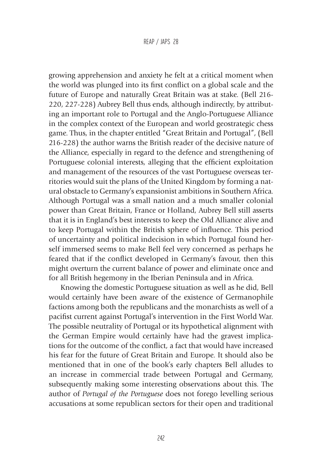growing apprehension and anxiety he felt at a critical moment when the world was plunged into its first conflict on a global scale and the future of Europe and naturally Great Britain was at stake. (Bell 216- 220, 227-228) Aubrey Bell thus ends, although indirectly, by attributing an important role to Portugal and the Anglo-Portuguese Alliance in the complex context of the European and world geostrategic chess game. Thus, in the chapter entitled "Great Britain and Portugal", (Bell 216-228) the author warns the British reader of the decisive nature of the Alliance, especially in regard to the defence and strengthening of Portuguese colonial interests, alleging that the efficient exploitation and management of the resources of the vast Portuguese overseas territories would suit the plans of the United Kingdom by forming a natural obstacle to Germany's expansionist ambitions in Southern Africa. Although Portugal was a small nation and a much smaller colonial power than Great Britain, France or Holland, Aubrey Bell still asserts that it is in England's best interests to keep the Old Alliance alive and to keep Portugal within the British sphere of influence. This period of uncertainty and political indecision in which Portugal found herself immersed seems to make Bell feel very concerned as perhaps he feared that if the conflict developed in Germany's favour, then this might overturn the current balance of power and eliminate once and for all British hegemony in the Iberian Peninsula and in Africa.

Knowing the domestic Portuguese situation as well as he did, Bell would certainly have been aware of the existence of Germanophile factions among both the republicans and the monarchists as well of a pacifist current against Portugal's intervention in the First World War. The possible neutrality of Portugal or its hypothetical alignment with the German Empire would certainly have had the gravest implications for the outcome of the conflict, a fact that would have increased his fear for the future of Great Britain and Europe. It should also be mentioned that in one of the book's early chapters Bell alludes to an increase in commercial trade between Portugal and Germany, subsequently making some interesting observations about this. The author of *Portugal of the Portuguese* does not forego levelling serious accusations at some republican sectors for their open and traditional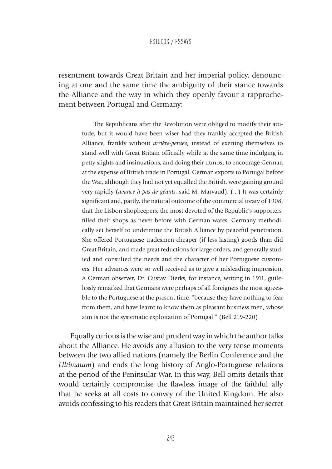resentment towards Great Britain and her imperial policy, denouncing at one and the same time the ambiguity of their stance towards the Alliance and the way in which they openly favour a rapprochement between Portugal and Germany:

> The Republicans after the Revolution were obliged to modify their attitude, but it would have been wiser had they frankly accepted the British Alliance, frankly without *arrière-pensée*, instead of exerting themselves to stand well with Great Britain officially while at the same time indulging in petty slights and insinuations, and doing their utmost to encourage German at the expense of British trade in Portugal. German exports to Portugal before the War, although they had not yet equalled the British, were gaining ground very rapidly (*avance à pas de géants*, said M. Marvaud). (...) It was certainly significant and, partly, the natural outcome of the commercial treaty of 1908, that the Lisbon shopkeepers, the most devoted of the Republic's supporters, filled their shops as never before with German wares. Germany methodically set herself to undermine the British Alliance by peaceful penetration. She offered Portuguese tradesmen cheaper (if less lasting) goods than did Great Britain, and made great reductions for large orders, and generally studied and consulted the needs and the character of her Portuguese customers. Her advances were so well received as to give a misleading impression. A German observer, Dr. Gustav Dierks, for instance, writing in 1911, guilelessly remarked that Germans were perhaps of all foreigners the most agreeable to the Portuguese at the present time, "because they have nothing to fear from them, and have learnt to know them as pleasant business men, whose aim is not the systematic exploitation of Portugal." (Bell 219-220)

Equally curious is the wise and prudent way in which the author talks about the Alliance. He avoids any allusion to the very tense moments between the two allied nations (namely the Berlin Conference and the *Ultimatum*) and ends the long history of Anglo-Portuguese relations at the period of the Peninsular War. In this way, Bell omits details that would certainly compromise the flawless image of the faithful ally that he seeks at all costs to convey of the United Kingdom. He also avoids confessing to his readers that Great Britain maintained her secret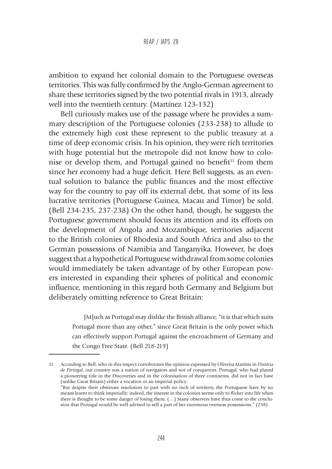ambition to expand her colonial domain to the Portuguese overseas territories. This was fully confirmed by the Anglo-German agreement to share these territories signed by the two potential rivals in 1913, already well into the twentieth century. (Martínez 123-132)

Bell curiously makes use of the passage where he provides a summary description of the Portuguese colonies (233-238) to allude to the extremely high cost these represent to the public treasury at a time of deep economic crisis. In his opinion, they were rich territories with huge potential but the metropole did not know how to colonise or develop them, and Portugal gained no benefit $11$  from them since her economy had a huge deficit. Here Bell suggests, as an eventual solution to balance the public finances and the most effective way for the country to pay off its external debt, that some of its less lucrative territories (Portuguese Guinea, Macau and Timor) be sold. (Bell 234-235, 237-238) On the other hand, though, he suggests the Portuguese government should focus its attention and its efforts on the development of Angola and Mozambique, territories adjacent to the British colonies of Rhodesia and South Africa and also to the German possessions of Namibia and Tanganyika. However, he does suggest that a hypothetical Portuguese withdrawal from some colonies would immediately be taken advantage of by other European powers interested in expanding their spheres of political and economic influence, mentioning in this regard both Germany and Belgium but deliberately omitting reference to Great Britain:

> [M]uch as Portugal may dislike the British alliance, "it is that which suits Portugal more than any other," since Great Britain is the only power which can effectively support Portugal against the encroachment of Germany and the Congo Free State. (Bell 218-219)

<sup>11</sup> According to Bell, who in this respect corroborates the opinion expressed by Oliveira Martins in *História de Portugal*, our country was a nation of navigators and not of conquerors. Portugal, who had played a pioneering role in the Discoveries and in the colonisation of three continents, did not in fact have (unlike Great Britain) either a vocation or an imperial policy:

<sup>&</sup>quot;But despite their obstinate resolution to part with no inch of territory, the Portuguese have by no means learnt to think imperially; indeed, the interest in the colonies seems only to flicker into life when there is thought to be some danger of losing them. (…) Many observers have thus come to the conclusion that Portugal would be well advised to sell a part of her enormous overseas possessions." (238)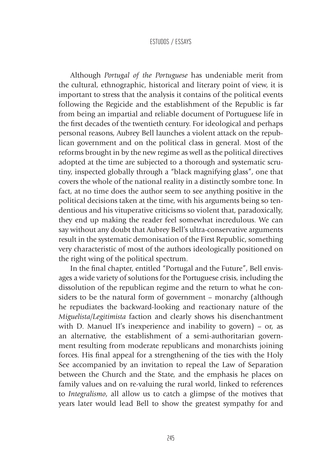Although *Portugal of the Portuguese* has undeniable merit from the cultural, ethnographic, historical and literary point of view, it is important to stress that the analysis it contains of the political events following the Regicide and the establishment of the Republic is far from being an impartial and reliable document of Portuguese life in the first decades of the twentieth century. For ideological and perhaps personal reasons, Aubrey Bell launches a violent attack on the republican government and on the political class in general. Most of the reforms brought in by the new regime as well as the political directives adopted at the time are subjected to a thorough and systematic scrutiny, inspected globally through a "black magnifying glass", one that covers the whole of the national reality in a distinctly sombre tone. In fact, at no time does the author seem to see anything positive in the political decisions taken at the time, with his arguments being so tendentious and his vituperative criticisms so violent that, paradoxically, they end up making the reader feel somewhat incredulous. We can say without any doubt that Aubrey Bell's ultra-conservative arguments result in the systematic demonisation of the First Republic, something very characteristic of most of the authors ideologically positioned on the right wing of the political spectrum.

In the final chapter, entitled "Portugal and the Future", Bell envisages a wide variety of solutions for the Portuguese crisis, including the dissolution of the republican regime and the return to what he considers to be the natural form of government – monarchy (although he repudiates the backward-looking and reactionary nature of the *Miguelista/Legitimista* faction and clearly shows his disenchantment with D. Manuel II's inexperience and inability to govern) – or, as an alternative, the establishment of a semi-authoritarian government resulting from moderate republicans and monarchists joining forces. His final appeal for a strengthening of the ties with the Holy See accompanied by an invitation to repeal the Law of Separation between the Church and the State, and the emphasis he places on family values and on re-valuing the rural world, linked to references to *Integralismo*, all allow us to catch a glimpse of the motives that years later would lead Bell to show the greatest sympathy for and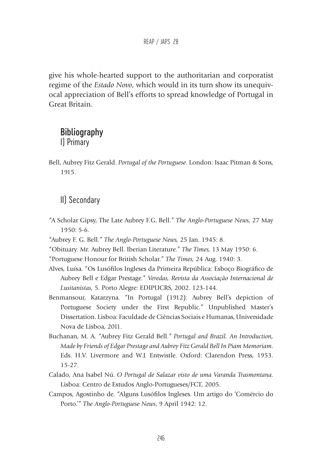give his whole-hearted support to the authoritarian and corporatist regime of the *Estado Novo*, which would in its turn show its unequivocal appreciation of Bell's efforts to spread knowledge of Portugal in Great Britain.

# **Bibliography** I) Primary

Bell, Aubrey Fitz Gerald. *Portugal of the Portuguese*. London: Isaac Pitman & Sons, 1915.

# II) Secondary

- "A Scholar Gipsy, The Late Aubrey F.G. Bell." *The Anglo-Portuguese News,* 27 May 1950: 5-6.
- "Aubrey F. G. Bell." *The Anglo-Portuguese News,* 25 Jan. 1945: 8.
- "Obituary. Mr. Aubrey Bell. Iberian Literature." *The Times,* 13 May 1950: 6.
- "Portuguese Honour for British Scholar." *The Times,* 24 Aug. 1940: 3.
- Alves, Luísa. "Os Lusófilos Ingleses da Primeira República: Esboço Biográfico de Aubrey Bell e Edgar Prestage." *Veredas, Revista da Associação Internacional de Lusitanistas,* 5*.* Porto Alegre: EDIPUCRS, 2002. 123-144.
- Benmansour, Katarzyna. "In Portugal (1912): Aubrey Bell's depiction of Portuguese Society under the First Republic." Unpublished Master's Dissertation. Lisboa: Faculdade de Ciências Sociais e Humanas, Universidade Nova de Lisboa, 2011.
- Buchanan, M. A. "Aubrey Fitz Gerald Bell." *Portugal and Brazil. An Introduction, Made by Friends of Edgar Prestage and Aubrey Fitz Gerald Bell In Piam Memoriam*. Eds. H.V. Livermore and W.J. Entwistle. Oxford: Clarendon Press, 1953. 15-27.
- Calado, Ana Isabel Nú. *O Portugal de Salazar visto de uma Varanda Trasmontana*. Lisboa: Centro de Estudos Anglo-Portugueses/FCT, 2005.
- Campos, Agostinho de. "Alguns Lusófilos Ingleses. Um artigo do 'Comércio do Porto.'" *The Anglo-Portuguese News*, 9 April 1942: 12.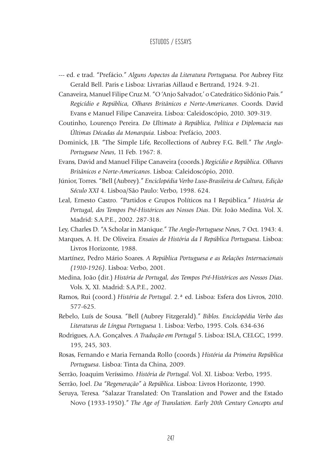- --- ed. e trad. "Prefácio." *Alguns Aspectos da Literatura Portuguesa.* Por Aubrey Fitz Gerald Bell. Paris e Lisboa: Livrarias Aillaud e Bertrand, 1924. 9-21.
- Canaveira, Manuel Filipe Cruz M. "O 'Anjo Salvador,' o Catedrático Sidónio Pais." *Regicídio e República, Olhares Britânicos e Norte-Americanos*. Coords. David Evans e Manuel Filipe Canaveira. Lisboa: Caleidoscópio, 2010. 309-319.
- Coutinho, Lourenço Pereira. *Do Ultimato à República, Política e Diplomacia nas Últimas Décadas da Monarquia*. Lisboa: Prefácio, 2003.
- Dominick, J.B. "The Simple Life, Recollections of Aubrey F.G. Bell." *The Anglo-Portuguese News*, 11 Feb. 1967: 8.
- Evans, David and Manuel Filipe Canaveira (coords.) *Regicídio e República. Olhares Britânicos e Norte-Americanos*. Lisboa: Caleidoscópio, 2010.
- Júnior, Torres. "Bell (Aubrey)." *Enciclopédia Verbo Luso-Brasileira de Cultura, Edição Século XXI* 4. Lisboa/São Paulo: Verbo, 1998. 624.
- Leal, Ernesto Castro. "Partidos e Grupos Políticos na I República." *História de Portugal, dos Tempos Pré-Históricos aos Nossos Dias*. Dir. João Medina. Vol. X. Madrid: S.A.P.E., 2002. 287-318.
- Ley, Charles D. "A Scholar in Manique." *The Anglo-Portuguese News*, 7 Oct. 1943: 4.
- Marques, A. H. De Oliveira. *Ensaios de História da I República Portuguesa*. Lisboa: Livros Horizonte, 1988.
- Martínez, Pedro Mário Soares. *A República Portuguesa e as Relações Internacionais (1910-1926)*. Lisboa: Verbo, 2001.
- Medina, João (dir.) *História de Portugal, dos Tempos Pré-Históricos aos Nossos Dias*. Vols. X, XI. Madrid: S.A.P.E., 2002.
- Ramos, Rui (coord.) *História de Portugal*. 2.ª ed. Lisboa: Esfera dos Livros, 2010. 577-625.
- Rebelo, Luís de Sousa. "Bell (Aubrey Fitzgerald)." *Biblos. Enciclopédia Verbo das Literaturas de Língua Portuguesa* 1. Lisboa: Verbo, 1995. Cols. 634-636
- Rodrigues, A.A. Gonçalves. *A Tradução em Portugal* 5. Lisboa: ISLA, CELGC, 1999. 195, 245, 303.
- Rosas, Fernando e Maria Fernanda Rollo (coords.) *História da Primeira República Portuguesa*. Lisboa: Tinta da China, 2009.
- Serrão, Joaquim Veríssimo. *História de Portugal*. Vol. XI. Lisboa: Verbo, 1995.
- Serrão, Joel. *Da "Regeneração" à República*. Lisboa: Livros Horizonte, 1990.
- Seruya, Teresa. "Salazar Translated: On Translation and Power and the Estado Novo (1933-1950)." *The Age of Translation. Early 20th Century Concepts and*